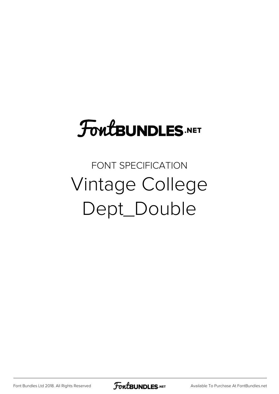# **FoutBUNDLES.NET**

## FONT SPECIFICATION Vintage College Dept\_Double

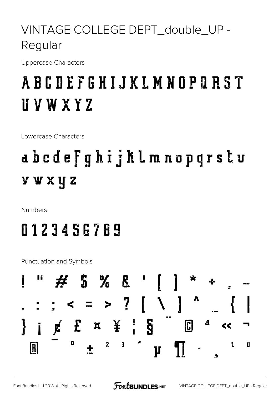#### VINTAGE COLLEGE DEPT\_double\_UP -Regular

**Uppercase Characters** 

## A B C D E F G H I J K L M N O P Q R S T UVWXYZ

Lowercase Characters

# a b c d e f g h i j k l m n o p q r s t v **y** w x y z

**Numbers** 

### 0123456789

**Punctuation and Symbols** 

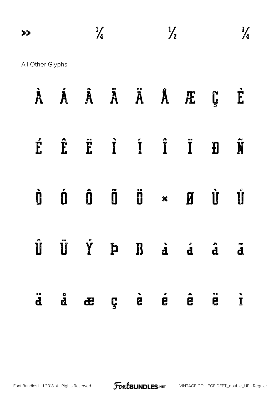$\frac{1}{4}$   $\frac{1}{2}$   $\frac{3}{4}$ All Other Glyphs À Á Â Ã Ä Å Æ Ç È

- É Ê Ë Ì Í Î Ï Ð Ñ
- Ò Ó Ô Õ Ö × Ø Ù Ú Û Ü Ý Þ ß à á â ã

ä å æ ç è é ê ë ì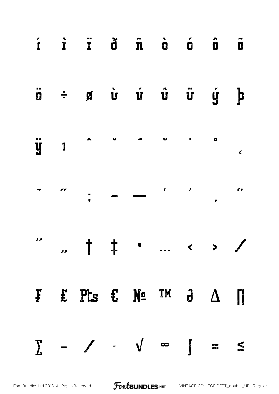|  | $\tilde{\mathbf{i}}$ $\tilde{\mathbf{i}}$ $\tilde{\mathbf{i}}$ $\tilde{\mathbf{d}}$ $\tilde{\mathbf{n}}$ $\tilde{\mathbf{o}}$ $\tilde{\mathbf{o}}$ $\tilde{\mathbf{o}}$ $\tilde{\mathbf{o}}$ |  |  |  |
|--|----------------------------------------------------------------------------------------------------------------------------------------------------------------------------------------------|--|--|--|
|  |                                                                                                                                                                                              |  |  |  |
|  |                                                                                                                                                                                              |  |  |  |
|  |                                                                                                                                                                                              |  |  |  |
|  | $\frac{1}{2}$ , t t /                                                                                                                                                                        |  |  |  |
|  | F $\epsilon$ Pts $\epsilon$ No TM $\partial$ $\Delta$ $\Box$                                                                                                                                 |  |  |  |
|  | $\sum$ - / $\sqrt{ }$ $=$ $\int$ $=$ $\le$                                                                                                                                                   |  |  |  |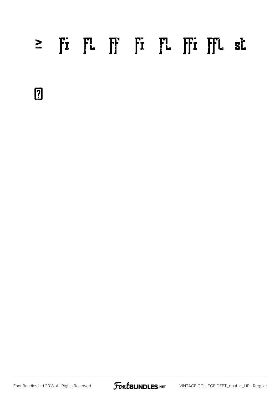# ≥ ff fi fl ffi ffl st

 $\boxed{2}$ 

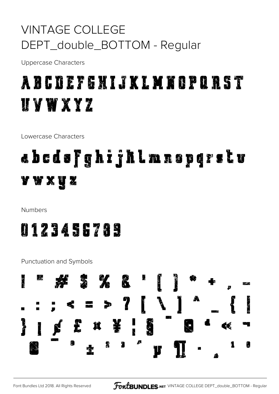#### **VINTAGE COLLEGE** DEPT\_double\_BOTTOM - Regular

**Uppercase Characters** 

## A B C D E 7 S N I J K L M N O P Q R S T U Y W X Y Z

Lowercase Characters

## abedsfghijhlmnopqrstv y w x y z

**Numbers** 

0123456789

**Punctuation and Symbols** 

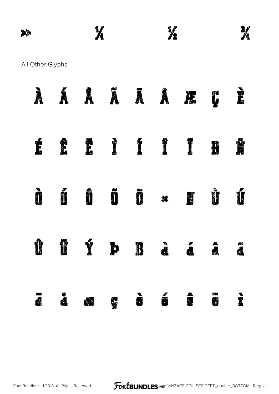|   |                                       |     |                    |                         | AÁÂÃ AA AEG                         |                    | <b>THE REA</b> |
|---|---------------------------------------|-----|--------------------|-------------------------|-------------------------------------|--------------------|----------------|
|   |                                       |     | FI 191             |                         |                                     | 7                  |                |
|   | $\mathbf{\hat{u}}$ $\mathbf{\hat{u}}$ |     |                    |                         | $\mathbf{0} \rightarrow \mathbf{0}$ |                    | KH             |
| Î |                                       | ÜÝÞ |                    |                         | $\mathbf{B}$ d d d                  |                    |                |
| 1 | $\frac{2}{4}$                         |     | $\hat{\mathbb{Q}}$ | $\bullet \quad \bullet$ |                                     | $\hat{\mathbf{y}}$ | <b>Alla</b>    |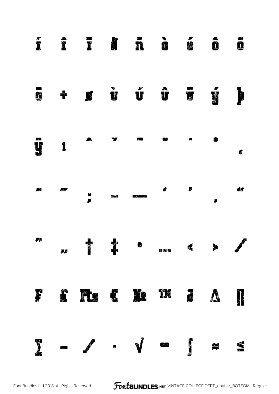|                 | $\tilde{z}$ are an and $\tilde{u}$ and $\tilde{u}$ and $\tilde{u}$                                                                                                                                                                                                                                                  |       |  |           |           |
|-----------------|---------------------------------------------------------------------------------------------------------------------------------------------------------------------------------------------------------------------------------------------------------------------------------------------------------------------|-------|--|-----------|-----------|
|                 | <b>a</b> + a à ú â à g þ                                                                                                                                                                                                                                                                                            |       |  |           |           |
| $\frac{1}{2}$ 1 |                                                                                                                                                                                                                                                                                                                     |       |  | $\bullet$ | $\bullet$ |
|                 |                                                                                                                                                                                                                                                                                                                     | SK 25 |  |           | 44        |
| JJ              | $\frac{1}{2}$ $\frac{1}{2}$ $\frac{1}{2}$ $\frac{1}{2}$ $\frac{1}{2}$ $\frac{1}{2}$ $\frac{1}{2}$ $\frac{1}{2}$ $\frac{1}{2}$ $\frac{1}{2}$ $\frac{1}{2}$ $\frac{1}{2}$ $\frac{1}{2}$ $\frac{1}{2}$ $\frac{1}{2}$ $\frac{1}{2}$ $\frac{1}{2}$ $\frac{1}{2}$ $\frac{1}{2}$ $\frac{1}{2}$ $\frac{1}{2}$ $\frac{1}{2}$ |       |  |           |           |
|                 | FC FC CHOIX 3 A                                                                                                                                                                                                                                                                                                     |       |  |           |           |
|                 | $\blacksquare$ $\blacksquare$ $\blacksquare$ $\blacksquare$ $\blacksquare$ $\blacksquare$ $\blacksquare$ $\blacksquare$ $\blacksquare$ $\blacksquare$ $\blacksquare$ $\blacksquare$ $\blacksquare$ $\blacksquare$                                                                                                   |       |  |           | 塔         |